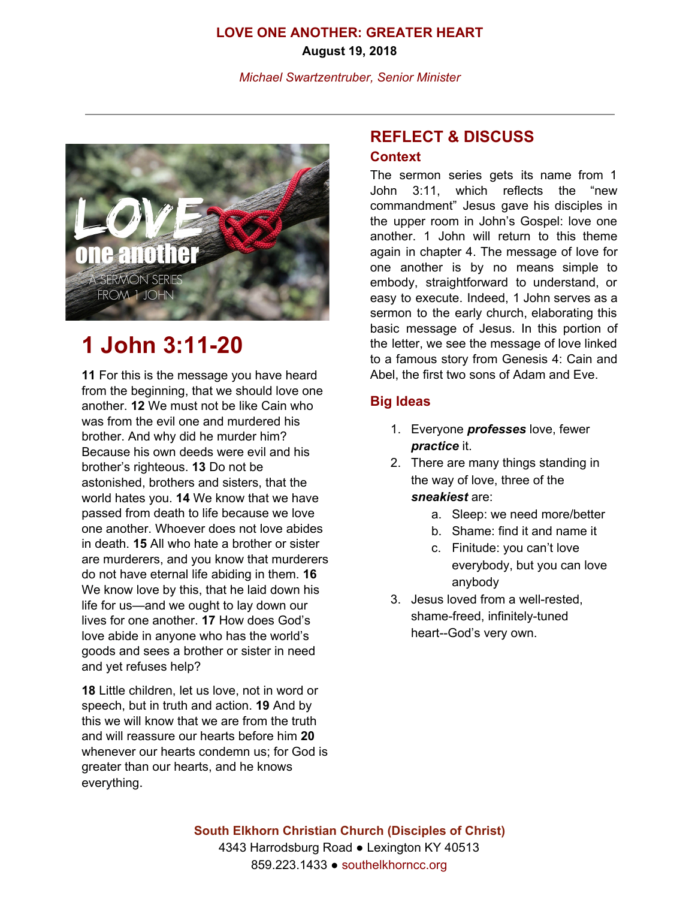# **LOVE ONE ANOTHER: GREATER HEART August 19, 2018**

*Michael Swartzentruber, Senior Minister*



# **1 John 3:11-20**

**11** For this is the message you have heard from the beginning, that we should love one another. **12** We must not be like Cain who was from the evil one and murdered his brother. And why did he murder him? Because his own deeds were evil and his brother's righteous. **13** Do not be astonished, brothers and sisters, that the world hates you. **14** We know that we have passed from death to life because we love one another. Whoever does not love abides in death. **15** All who hate a brother or sister are murderers, and you know that murderers do not have eternal life abiding in them. **16** We know love by this, that he laid down his life for us—and we ought to lay down our lives for one another. **17** How does God's love abide in anyone who has the world's goods and sees a brother or sister in need and yet refuses help?

**18** Little children, let us love, not in word or speech, but in truth and action. **19** And by this we will know that we are from the truth and will reassure our hearts before him **20** whenever our hearts condemn us; for God is greater than our hearts, and he knows everything.

# **REFLECT & DISCUSS**

#### **Context**

The sermon series gets its name from 1 John 3:11, which reflects the "new commandment" Jesus gave his disciples in the upper room in John's Gospel: love one another. 1 John will return to this theme again in chapter 4. The message of love for one another is by no means simple to embody, straightforward to understand, or easy to execute. Indeed, 1 John serves as a sermon to the early church, elaborating this basic message of Jesus. In this portion of the letter, we see the message of love linked to a famous story from Genesis 4: Cain and Abel, the first two sons of Adam and Eve.

# **Big Ideas**

- 1. Everyone *professes* love, fewer *practice* it.
- 2. There are many things standing in the way of love, three of the *sneakiest* are:
	- a. Sleep: we need more/better
	- b. Shame: find it and name it
	- c. Finitude: you can't love everybody, but you can love anybody
- 3. Jesus loved from a well-rested, shame-freed, infinitely-tuned heart--God's very own.

**South Elkhorn Christian Church (Disciples of Christ)** 4343 Harrodsburg Road ● Lexington KY 40513 859.223.1433 ● southelkhorncc.org